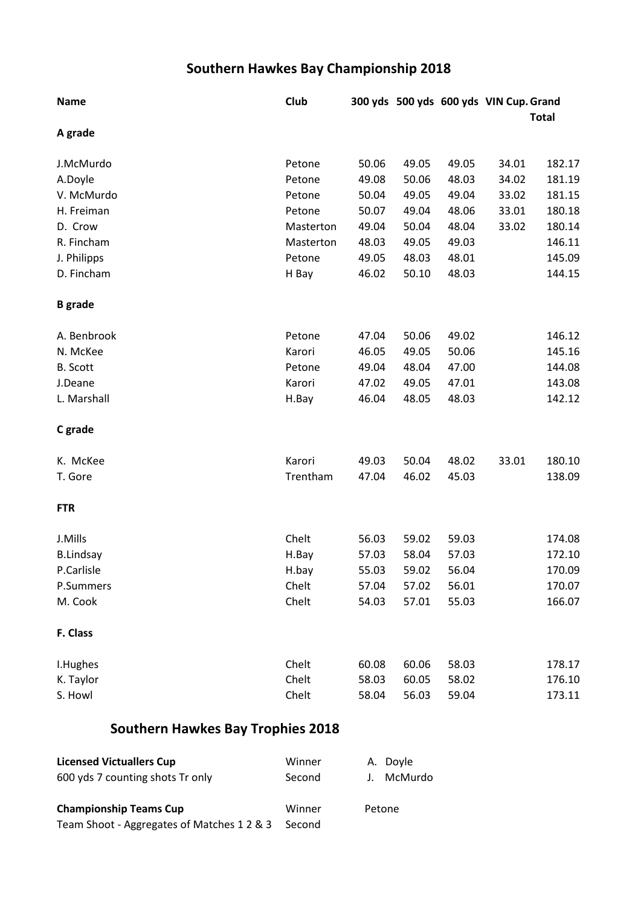## **Southern Hawkes Bay Championship 2018**

| <b>Name</b>      | Club      |       |       |              | 300 yds 500 yds 600 yds VIN Cup. Grand |        |
|------------------|-----------|-------|-------|--------------|----------------------------------------|--------|
|                  |           |       |       | <b>Total</b> |                                        |        |
| A grade          |           |       |       |              |                                        |        |
| J.McMurdo        | Petone    | 50.06 | 49.05 | 49.05        | 34.01                                  | 182.17 |
| A.Doyle          | Petone    | 49.08 | 50.06 | 48.03        | 34.02                                  | 181.19 |
| V. McMurdo       | Petone    | 50.04 | 49.05 | 49.04        | 33.02                                  | 181.15 |
| H. Freiman       | Petone    | 50.07 | 49.04 | 48.06        | 33.01                                  | 180.18 |
| D. Crow          | Masterton | 49.04 | 50.04 | 48.04        | 33.02                                  | 180.14 |
| R. Fincham       | Masterton | 48.03 | 49.05 | 49.03        |                                        | 146.11 |
| J. Philipps      | Petone    | 49.05 | 48.03 | 48.01        |                                        | 145.09 |
| D. Fincham       | H Bay     | 46.02 | 50.10 | 48.03        |                                        | 144.15 |
| <b>B</b> grade   |           |       |       |              |                                        |        |
| A. Benbrook      | Petone    | 47.04 | 50.06 | 49.02        |                                        | 146.12 |
| N. McKee         | Karori    | 46.05 | 49.05 | 50.06        |                                        | 145.16 |
| <b>B.</b> Scott  | Petone    | 49.04 | 48.04 | 47.00        |                                        | 144.08 |
| J.Deane          | Karori    | 47.02 | 49.05 | 47.01        |                                        | 143.08 |
| L. Marshall      | H.Bay     | 46.04 | 48.05 | 48.03        |                                        | 142.12 |
| C grade          |           |       |       |              |                                        |        |
| K. McKee         | Karori    | 49.03 | 50.04 | 48.02        | 33.01                                  | 180.10 |
| T. Gore          | Trentham  | 47.04 | 46.02 | 45.03        |                                        | 138.09 |
| <b>FTR</b>       |           |       |       |              |                                        |        |
| J.Mills          | Chelt     | 56.03 | 59.02 | 59.03        |                                        | 174.08 |
| <b>B.Lindsay</b> | H.Bay     | 57.03 | 58.04 | 57.03        |                                        | 172.10 |
| P.Carlisle       | H.bay     | 55.03 | 59.02 | 56.04        |                                        | 170.09 |
| P.Summers        | Chelt     | 57.04 | 57.02 | 56.01        |                                        | 170.07 |
| M. Cook          | Chelt     | 54.03 | 57.01 | 55.03        |                                        | 166.07 |
| F. Class         |           |       |       |              |                                        |        |
| I.Hughes         | Chelt     | 60.08 | 60.06 | 58.03        |                                        | 178.17 |
| K. Taylor        | Chelt     | 58.03 | 60.05 | 58.02        |                                        | 176.10 |
| S. Howl          | Chelt     | 58.04 | 56.03 | 59.04        |                                        | 173.11 |

## **Southern Hawkes Bay Trophies 2018**

| <b>Licensed Victuallers Cup</b>            | Winner | A. Doyle   |
|--------------------------------------------|--------|------------|
| 600 yds 7 counting shots Tr only           | Second | J. McMurdo |
| <b>Championship Teams Cup</b>              | Winner | Petone     |
| Team Shoot - Aggregates of Matches 1 2 & 3 | Second |            |